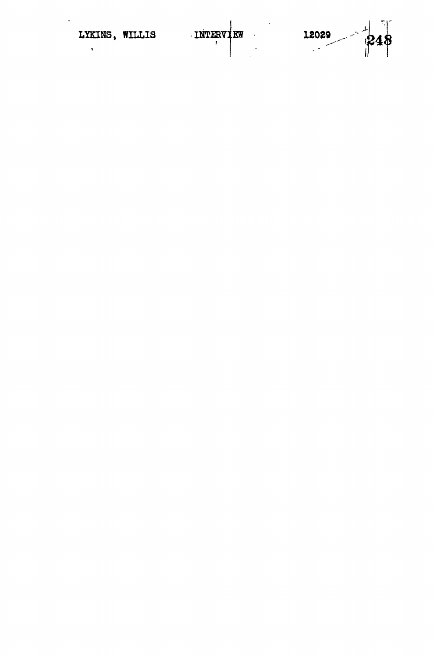$\ddot{\phantom{0}}$ 

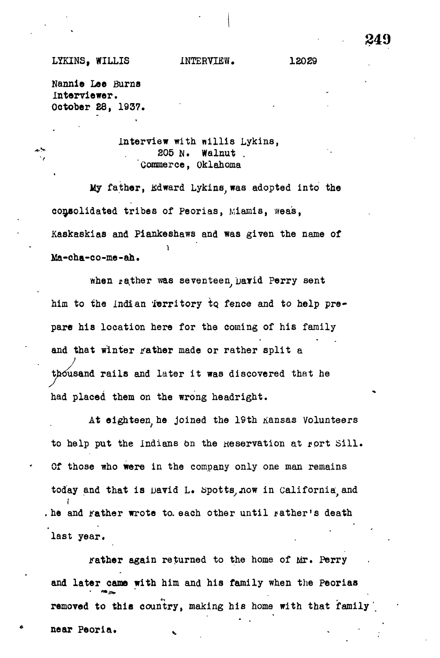## LYKINS, WILLIS INTERVIEW. 12029

**849**

Nannie Lee Burns Interviewer. October 28, 1937.

interview with nillis Lykins,  $*$  205 N. Walnut . Commerce, Oklahoma

My father, Edward Lykins was adopted into the My father, Kdward Lykins, was adopted into the consolidated tribes of Peorias, Miamis, weas, consolidated tribes of Peorias, Miamis, wea's, Kaskaskias and Piankeshaws and was given the name of  $\mathcal{A}$  and  $\mathcal{A}$  and  $\mathcal{A}$  and was given the name of name of name of name of name of name of name of name of name of  $\mathcal{A}$ Ma-cha-co-me-ah.

when rather was seventeen David Perry sent when rather was several percy several percy sentence in the second percy sentence in the sentence of  $\mathcal{D}_\mathbf{p}$ him to the indian Territory to fence and to help prepare his location here for the coming of his family pare his location here for the coming of his family and that winter rather made or rather split a  $\overline{t}$ thousand rails and later it was discovered that he  $\frac{1}{\sqrt{2}}$ had placed them on the wrong headright.

At eighteen he joined the 19th Kansas Volunteers  $\mathcal{A}$  the 19th Kansas Volunteers Volunteers Volunteers Volunteers Volunteers Volunteers Volunteers Volunteers Volunteers Volunteers Volunteers Volunteers Volunteers Volunteers Volunteers Volunteers Volunteers Volunteer to help put the Indians on the Reservation at rort Sill. to help put the Indians on the Indians on the Indians on the Indians on the reservation at  $\epsilon$ Of those who were in the company only one man remains today and that is mavid L. Spotts now in California and today and that is David L. bpottsyjiow in California;, and . he and rather wrote to each other until rather's death . he and father wrote to. each other wrote to. each other until gather wrote to. each other until gather until last year.

rather again returned to the home of Mr. Perry rather again returned to the home of Mr. Perry and later came with him and his family when the Peorias and later came with him and him and him and him and him and his family when the Peorias  $\alpha$ removed to this country, making his home with the family  $\mathcal{L}$ near Peoria.

near Peoria. . . • .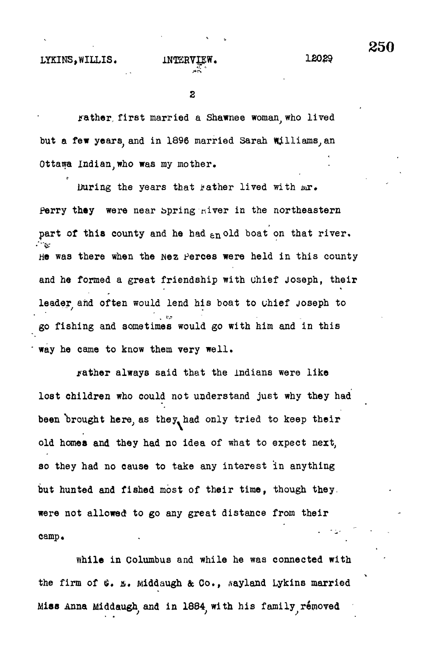camp.

 $\overline{2}$ 

rather first married a Shawnee woman who lived but a few years, and in 1896 married Sarah Williams, an Ottawa lndian;who was my mother.

During the years that father lived with *tar.* Perry they were near Spring niver in the northeastern part of this county and he had  $\epsilon_n$  old boat on that river. **•""ft\*** he was the was the wez Perces were the wez Perces were held in this county were held in this county were held and he formed a great friendship with chief Joseph, their leader and often would lend his boat to chief Joseph to go fishing and sometimes would go with him and in this way he came to know them very well. way he came to know the came to know them very well.

rather always said that the indians were like jrather always said that the Indians were like lost children who could not understand just why they had lost children who could not understand just why they had been "brought here, as they, had only tried to keep their old homes and they had no idea of what to expect next, so they had no cause to take any interest in anything but hunted and fished most of their time, they, they, they, they, they, they, they, they, though they, they, though they, they, they, they, they, they, they, they, they, they, they, they, they, they, they, they, they, they were not allowed to go any great distance from the second to go any great distance from the second to go any g camp.

while in Columbus and while he was connected with the was connected with the was connected with the was connected with the was connected with the was connected with the was connected with the was connected with the was con the firm of  $\mathfrak{G}.$  E. Middaugh & Co., Aayland Lykins married Miss Anna Middaugh and in 1884 with his family removed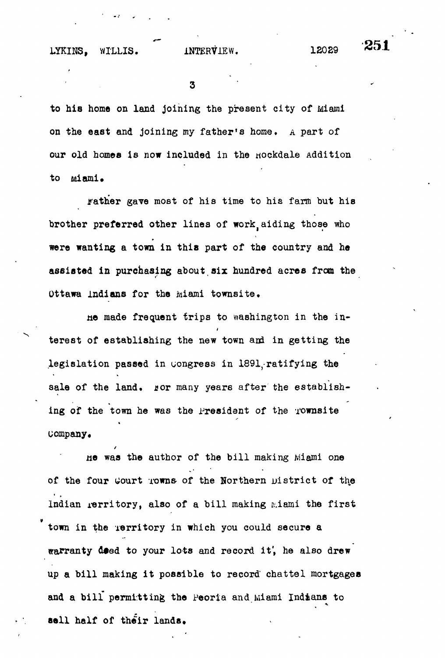LYKINS, WILLIS. INTERVIEW. 12029

:251

3

to his home on land joining the present city of Miami on the east and joining my father's home, A part of our old homes is now included in the nockdale Addition to miami.

rather gave most of his time to his farm but his brother preferred other lines of work aiding those who were wanting a town in this part of the country and he assisted in purchasing about six hundred acres from the Ottawa indians for the miami townsite.

He made frequent trips to washington in the interest of establishing the new town and in getting the legislation passed in congress in 1891, ratifying the sale of the land. ror many years after the establishing of the town he was the President of the Townsite uompany.

He was the author of the bill making Miami one of the four Gourt rowns of the Northern District of the Indian  $\texttt{invariant}$ , also of a bill making miami the first town in the Territory in which you could secure a warranty deed to your lots and record it, he also drew up a bill making it possible to record chattel mortgages and a bill permitting the Peoria and Miami Indians to sell half of their lands.